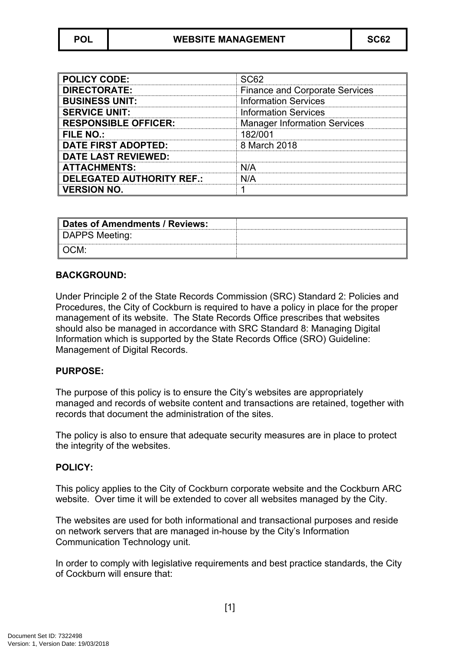| <b>POLICY CODE:</b>              | SC62                                  |
|----------------------------------|---------------------------------------|
| <b>DIRECTORATE:</b>              | <b>Finance and Corporate Services</b> |
| <b>BUSINESS UNIT:</b>            | <b>Information Services</b>           |
| <b>SERVICE UNIT:</b>             | <b>Information Services</b>           |
| <b>RESPONSIBLE OFFICER:</b>      | <b>Manager Information Services</b>   |
| FILE NO.:                        | 182/001                               |
| <b>DATE FIRST ADOPTED:</b>       | 8 March 2018                          |
| <b>DATE LAST REVIEWED:</b>       |                                       |
| <b>ATTACHMENTS:</b>              | N/A                                   |
| <b>DELEGATED AUTHORITY REF.:</b> | N/A                                   |
| <b>VERSION NO.</b>               |                                       |

| Dates of Amendments / Reviews: |  |
|--------------------------------|--|
| DAPPS Meeting:                 |  |
| ∥ OCM:                         |  |

#### **BACKGROUND:**

Under Principle 2 of the State Records Commission (SRC) Standard 2: Policies and Procedures, the City of Cockburn is required to have a policy in place for the proper management of its website. The State Records Office prescribes that websites should also be managed in accordance with SRC Standard 8: Managing Digital Information which is supported by the State Records Office (SRO) Guideline: Management of Digital Records.

## **PURPOSE:**

The purpose of this policy is to ensure the City's websites are appropriately managed and records of website content and transactions are retained, together with records that document the administration of the sites.

The policy is also to ensure that adequate security measures are in place to protect the integrity of the websites.

#### **POLICY:**

This policy applies to the City of Cockburn corporate website and the Cockburn ARC website. Over time it will be extended to cover all websites managed by the City.

The websites are used for both informational and transactional purposes and reside on network servers that are managed in-house by the City's Information Communication Technology unit.

In order to comply with legislative requirements and best practice standards, the City of Cockburn will ensure that: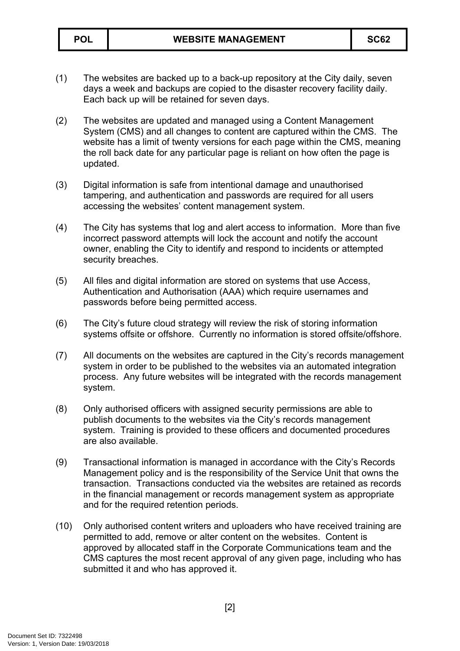- (1) The websites are backed up to a back-up repository at the City daily, seven days a week and backups are copied to the disaster recovery facility daily. Each back up will be retained for seven days.
- (2) The websites are updated and managed using a Content Management System (CMS) and all changes to content are captured within the CMS. The website has a limit of twenty versions for each page within the CMS, meaning the roll back date for any particular page is reliant on how often the page is updated.
- (3) Digital information is safe from intentional damage and unauthorised tampering, and authentication and passwords are required for all users accessing the websites' content management system.
- (4) The City has systems that log and alert access to information. More than five incorrect password attempts will lock the account and notify the account owner, enabling the City to identify and respond to incidents or attempted security breaches.
- (5) All files and digital information are stored on systems that use Access, Authentication and Authorisation (AAA) which require usernames and passwords before being permitted access.
- (6) The City's future cloud strategy will review the risk of storing information systems offsite or offshore. Currently no information is stored offsite/offshore.
- (7) All documents on the websites are captured in the City's records management system in order to be published to the websites via an automated integration process. Any future websites will be integrated with the records management system.
- (8) Only authorised officers with assigned security permissions are able to publish documents to the websites via the City's records management system. Training is provided to these officers and documented procedures are also available.
- (9) Transactional information is managed in accordance with the City's Records Management policy and is the responsibility of the Service Unit that owns the transaction. Transactions conducted via the websites are retained as records in the financial management or records management system as appropriate and for the required retention periods.
- (10) Only authorised content writers and uploaders who have received training are permitted to add, remove or alter content on the websites. Content is approved by allocated staff in the Corporate Communications team and the CMS captures the most recent approval of any given page, including who has submitted it and who has approved it.